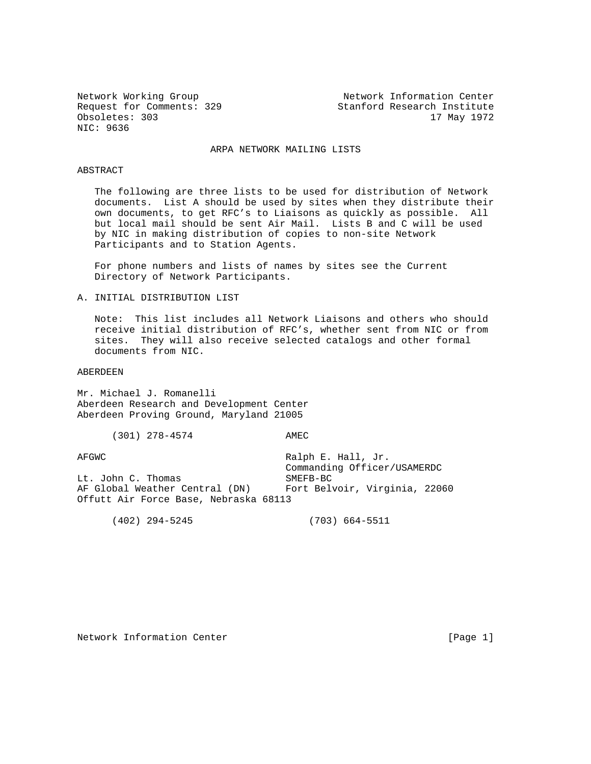NIC: 9636

Network Working Group Network Information Center Request for Comments: 329 Stanford Research Institute Obsoletes: 303 17 May 1972

# ARPA NETWORK MAILING LISTS

### ABSTRACT

 The following are three lists to be used for distribution of Network documents. List A should be used by sites when they distribute their own documents, to get RFC's to Liaisons as quickly as possible. All but local mail should be sent Air Mail. Lists B and C will be used by NIC in making distribution of copies to non-site Network Participants and to Station Agents.

 For phone numbers and lists of names by sites see the Current Directory of Network Participants.

# A. INITIAL DISTRIBUTION LIST

 Note: This list includes all Network Liaisons and others who should receive initial distribution of RFC's, whether sent from NIC or from sites. They will also receive selected catalogs and other formal documents from NIC.

ABERDEEN

Mr. Michael J. Romanelli Aberdeen Research and Development Center Aberdeen Proving Ground, Maryland 21005

(301) 278-4574 AMEC

AFGWC Ralph E. Hall, Jr.

 Commanding Officer/USAMERDC Lt. John C. Thomas SMEFB-BC AF Global Weather Central (DN) Fort Belvoir, Virginia, 22060 Offutt Air Force Base, Nebraska 68113

(402) 294-5245 (703) 664-5511

Network Information Center [Page 1]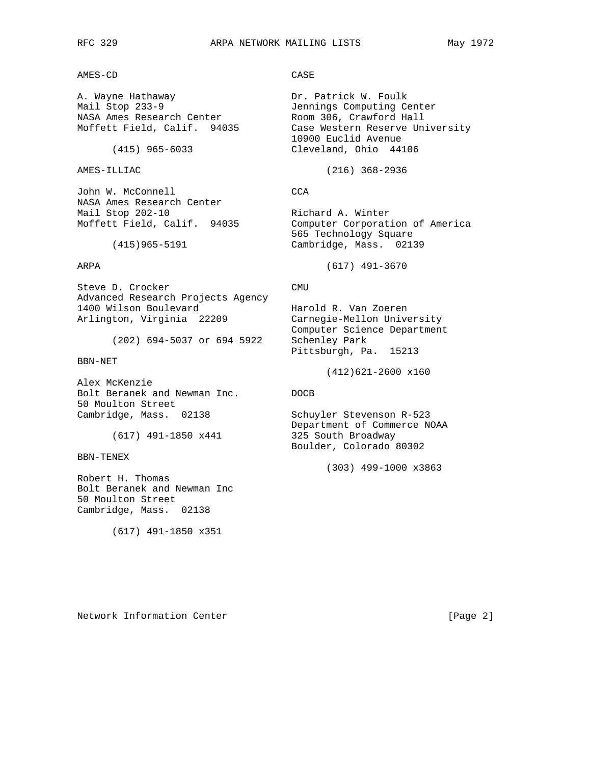AMES-CD CASE

A. Wayne Hathaway **Dr. Patrick W. Foulk** Mail Stop 233-9 Jennings Computing Center NASA Ames Research Center **Room 306, Crawford Hall** 

John W. McConnell CCA NASA Ames Research Center<br>Mail Stop 202-10

Steve D. Crocker CMU Advanced Research Projects Agency 1400 Wilson Boulevard Harold R. Van Zoeren Arlington, Virginia 22209 Carnegie-Mellon University

(202) 694-5037 or 694 5922 Schenley Park

BBN-NET

Alex McKenzie Bolt Beranek and Newman Inc. DOCB 50 Moulton Street Cambridge, Mass. 02138 Schuyler Stevenson R-523

BBN-TENEX

Robert H. Thomas Bolt Beranek and Newman Inc 50 Moulton Street Cambridge, Mass. 02138

(617) 491-1850 x351

Moffett Field, Calif. 94035 Case Western Reserve University 10900 Euclid Avenue (415) 965-6033 Cleveland, Ohio 44106

AMES-ILLIAC (216) 368-2936

Richard A. Winter Moffett Field, Calif. 94035 Computer Corporation of America 565 Technology Square<br>1513 Cambridge, Mass. 0213 Cambridge, Mass. 0213 Cambridge, Mass. 02139

ARPA (617) 491-3670

 Computer Science Department Pittsburgh, Pa. 15213

(412)621-2600 x160

 Department of Commerce NOAA (617) 491-1850 x441 325 South Broadway Boulder, Colorado 80302

(303) 499-1000 x3863

Network Information Center [Page 2]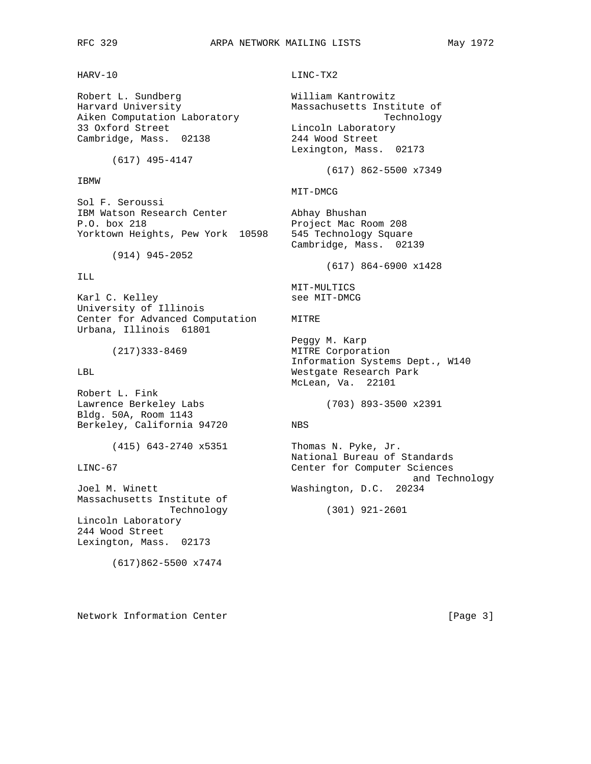# HARV-10 LINC-TX2

Robert L. Sundberg William Kantrowitz 33 Oxford Street Lincoln Laboratory Cambridge, Mass. 02138

(617) 495-4147

# IBMW

Sol F. Seroussi IBM Watson Research Center Abhay Bhushan P.O. box 218 Project Mac Room 208 Yorktown Heights, Pew York 10598 545 Technology Square

(914) 945-2052

# ILL

Karl C. Kelley See MIT-DMCG University of Illinois Center for Advanced Computation MITRE Urbana, Illinois 61801

Robert L. Fink Bldg. 50A, Room 1143 Berkeley, California 94720 NBS

Massachusetts Institute of Technology (301) 921-2601 Lincoln Laboratory 244 Wood Street Lexington, Mass. 02173

(617)862-5500 x7474

Harvard University Massachusetts Institute of Aiken Computation Laboratory and the Computation of the Technology Lexington, Mass. 02173 (617) 862-5500 x7349 MIT-DMCG Cambridge, Mass. 02139 (617) 864-6900 x1428 MIT-MULTICS Peggy M. Karp (217)333-8469 MITRE Corporation Information Systems Dept., W140 LBL Westgate Research Park McLean, Va. 22101 Lawrence Berkeley Labs (703) 893-3500 x2391 (415) 643-2740 x5351 Thomas N. Pyke, Jr. National Bureau of Standards LINC-67 Center for Computer Sciences and Technology

Joel M. Winett Washington, D.C. 20234

Network Information Center [Page 3]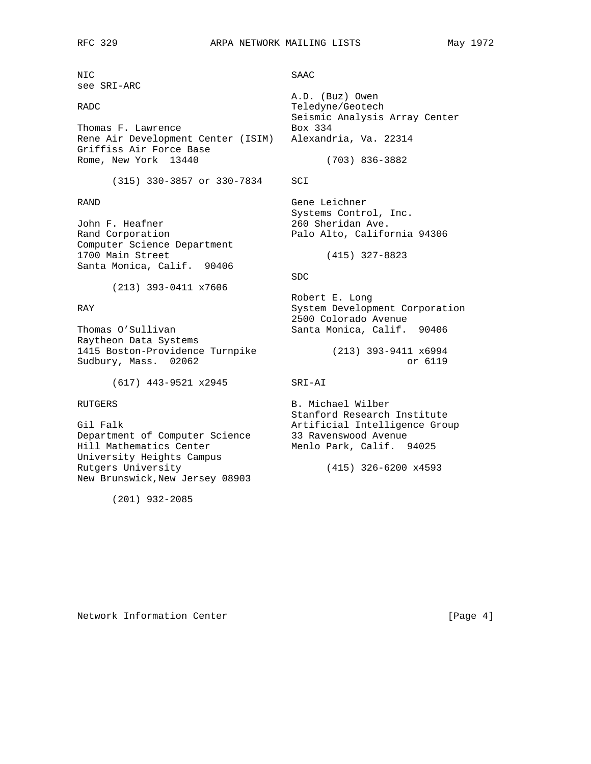NIC SAAC see SRI-ARC

Thomas F. Lawrence Box 334 Rene Air Development Center (ISIM) Alexandria, Va. 22314 Griffiss Air Force Base Rome, New York 13440 (703) 836-3882

(315) 330-3857 or 330-7834 SCI

John F. Heafner 260 Sheridan Ave. Rand Corporation **Palo Alto, California 94306** Computer Science Department 1700 Main Street (415) 327-8823 Santa Monica, Calif. 90406

(213) 393-0411 x7606

Raytheon Data Systems 1415 Boston-Providence Turnpike (213) 393-9411 x6994 Sudbury, Mass. 02062 **budget and Sudbury, Mass.** 02062

(617) 443-9521 x2945 SRI-AI

Department of Computer Science 33 Ravenswood Avenue Hill Mathematics Center Menlo Park, Calif. 94025 University Heights Campus Rutgers University (415) 326-6200 x4593 New Brunswick,New Jersey 08903

(201) 932-2085

 A.D. (Buz) Owen RADC Teledyne/Geotech Seismic Analysis Array Center

RAND Gene Leichner Systems Control, Inc.

### SDC SOUTH AND SUCKER SERVICES AND SUCKER SUCKER SUCKER SUCKER SUCKER SUCKER SUCKER SUCKER SUCKER SUCKER SUCKER

 Robert E. Long RAY System Development Corporation 2500 Colorado Avenue Thomas O'Sullivan Santa Monica, Calif. 90406

RUTGERS B. Michael Wilber Stanford Research Institute Gil Falk **Artificial Intelligence Group** 

Network Information Center [Page 4]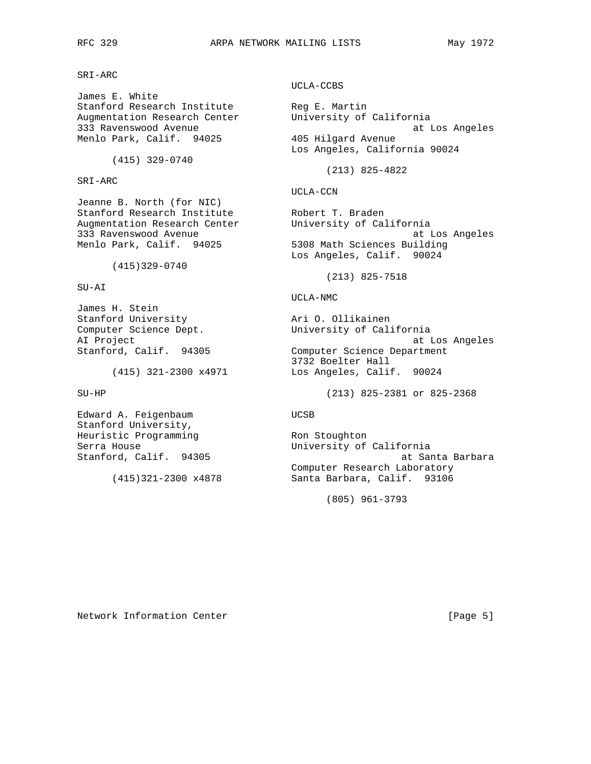SRI-ARC

James E. White Stanford Research Institute The Reg E. Martin Augmentation Research Center University of California Menlo Park, Calif. 94025 405 Hilgard Avenue

(415) 329-0740

SRI-ARC

Jeanne B. North (for NIC) Stanford Research Institute and Robert T. Braden Augmentation Research Center University of California

(415)329-0740

SU-AI

James H. Stein Stanford University **Ari O. Ollikainen** Computer Science Dept. University of California

Edward A. Feigenbaum and UCSB Stanford University, Heuristic Programming Theory Ron Stoughton

UCLA-CCBS

333 Ravenswood Avenue at Los Angeles Los Angeles, California 90024

(213) 825-4822

UCLA-CCN

333 Ravenswood Avenue at Los Angeles Menlo Park, Calif. 94025 5308 Math Sciences Building Los Angeles, Calif. 90024

(213) 825-7518

UCLA-NMC

AI Project at Los Angeles Stanford, Calif. 94305 Computer Science Department 3732 Boelter Hall (415) 321-2300 x4971 Los Angeles, Calif. 90024

SU-HP (213) 825-2381 or 825-2368

Serra House **Example 20** and Monoteuring University of California Stanford, Calif. 94305 at Santa Barbara Computer Research Laboratory (415)321-2300 x4878 Santa Barbara, Calif. 93106

(805) 961-3793

Network Information Center [Page 5]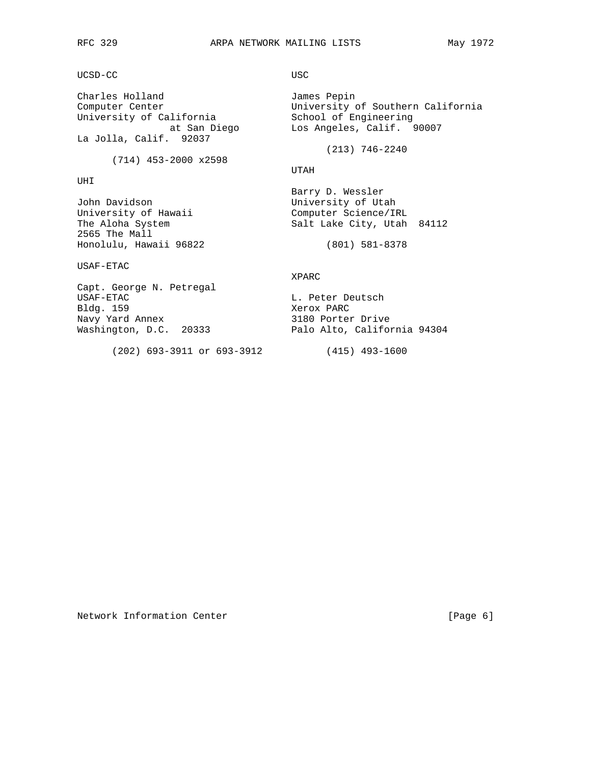UCSD-CC USC

University of California School of Engineering at San Diego Los Angeles, Calif. 90007 La Jolla, Calif. 92037

(714) 453-2000 x2598

# UHI

John Davidson University of Utah University of Hawaii **Computer Science**/IRL 2565 The Mall Honolulu, Hawaii 96822 (801) 581-8378

USAF-ETAC

Charles Holland James Pepin Computer Center University of Southern California

(213) 746-2240

UTAH

 Barry D. Wessler The Aloha System Salt Lake City, Utah 84112

# XPARC

Capt. George N. Petregal USAF-ETAC L. Peter Deutsch Bldg. 159 Xerox PARC 3180 Porter Drive Washington, D.C. 20333 Palo Alto, California 94304

(202) 693-3911 or 693-3912 (415) 493-1600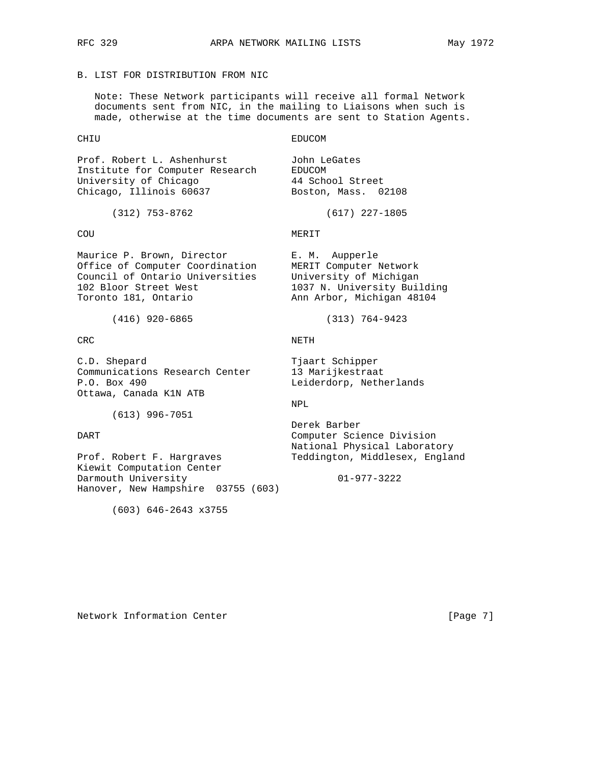Note: These Network participants will receive all formal Network documents sent from NIC, in the mailing to Liaisons when such is made, otherwise at the time documents are sent to Station Agents.

CHIU EDUCOM

Prof. Robert L. Ashenhurst John LeGates Institute for Computer Research EDUCOM University of Chicago 44 School Street Chicago, Illinois 60637 Boston, Mass. 02108

Maurice P. Brown, Director **E. M. Aupperle** Office of Computer Coordination MERIT Computer Network Council of Ontario Universities University of Michigan 102 Bloor Street West 1037 N. University Building Toronto 181, Ontario Ann Arbor, Michigan 48104

(416) 920-6865 (313) 764-9423

C.D. Shepard Tjaart Schipper Communications Research Center 13 Marijkestraat P.O. Box 490 Leiderdorp, Netherlands Ottawa, Canada K1N ATB

(613) 996-7051

Prof. Robert F. Hargraves Teddington, Middlesex, England Kiewit Computation Center Darmouth University 01-977-3222 Hanover, New Hampshire 03755 (603)

(603) 646-2643 x3755

(312) 753-8762 (617) 227-1805

COU MERIT

### CRC NETH

### NPL

 Derek Barber DART Computer Science Division National Physical Laboratory

Network Information Center [Page 7]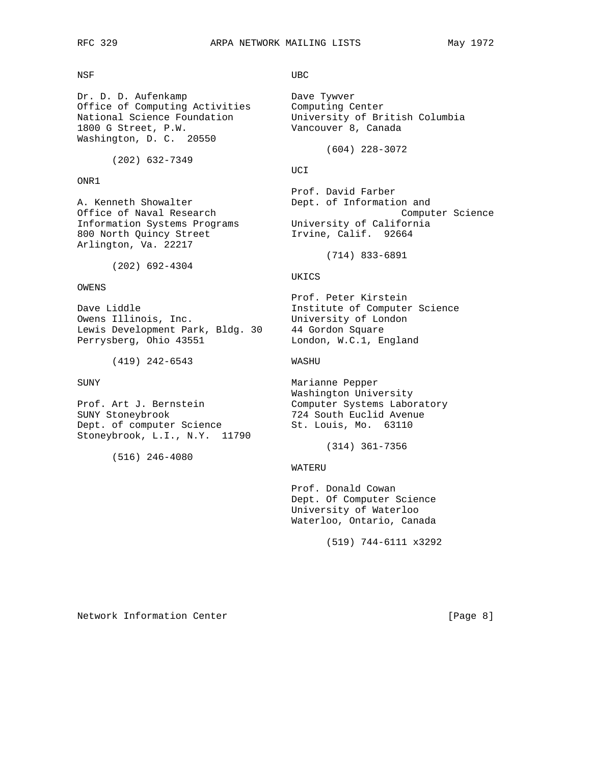### NSF UBC

Dr. D. D. Aufenkamp Dave Tywver Office of Computing Activities Computing Center<br>National Science Foundation University of Br 1800 G Street, P.W. Vancouver 8, Canada Washington, D. C. 20550

(202) 632-7349

ONR1

Information Systems Programs 800 North Quincy Street 1rvine, Calif. 92664 Arlington, Va. 22217

(202) 692-4304

### OWENS

Owens Illinois, Inc. The University of London Lewis Development Park, Bldg. 30 44 Gordon Square Perrysberg, Ohio 43551 London, W.C.1, England

(419) 242-6543 WASHU

SUNY Stoneybrook 724 South Euclid Avenue Dept. of computer Science St. Louis, Mo. 63110 Stoneybrook, L.I., N.Y. 11790

(516) 246-4080

University of British Columbia

(604) 228-3072

### **UCI**

Prof. David Farber<br>A. Kenneth Showalter (2008) Dept. of Information Dept. of Information and Office of Naval Research and Computer Science<br>Information Systems Programs University of California

(714) 833-6891

# UKICS

 Prof. Peter Kirstein Dave Liddle **Institute of Computer Science** 

SUNY Marianne Pepper Washington University Prof. Art J. Bernstein Computer Systems Laboratory

(314) 361-7356

### WATERU

 Prof. Donald Cowan Dept. Of Computer Science University of Waterloo Waterloo, Ontario, Canada

(519) 744-6111 x3292

Network Information Center [Page 8]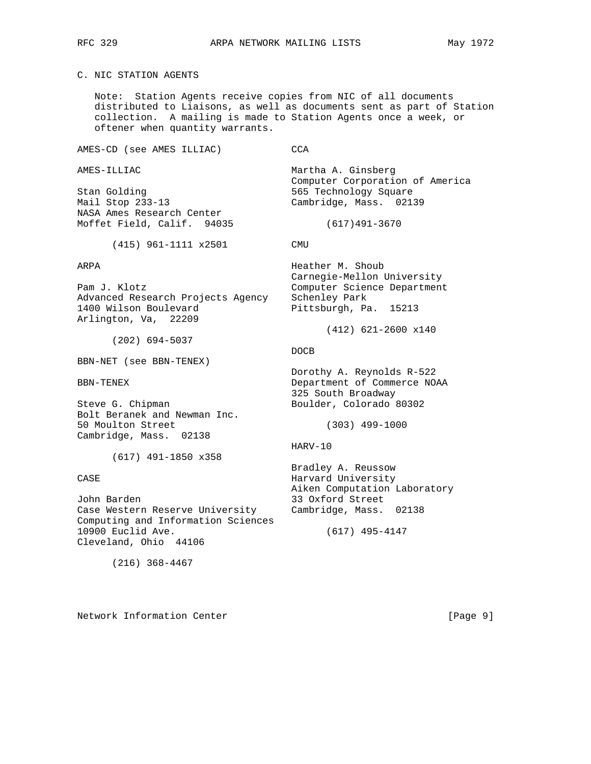# C. NIC STATION AGENTS

 Note: Station Agents receive copies from NIC of all documents distributed to Liaisons, as well as documents sent as part of Station collection. A mailing is made to Station Agents once a week, or oftener when quantity warrants.

AMES-CD (see AMES ILLIAC) CCA

Stan Golding **565 Technology Square** Mail Stop 233-13 Cambridge, Mass. 02139 NASA Ames Research Center Moffet Field, Calif. 94035 (617)491-3670

(415) 961-1111 x2501 CMU

Advanced Research Projects Agency Schenley Park 1400 Wilson Boulevard Pittsburgh, Pa. 15213 Arlington, Va, 22209

(202) 694-5037

BBN-NET (see BBN-TENEX)

Steve G. Chipman Boulder, Colorado 80302 Bolt Beranek and Newman Inc. 50 Moulton Street (303) 499-1000 Cambridge, Mass. 02138

(617) 491-1850 x358

John Barden 33 Oxford Street Case Western Reserve University Cambridge, Mass. 02138 Computing and Information Sciences 10900 Euclid Ave. (617) 495-4147 Cleveland, Ohio 44106

(216) 368-4467

Network Information Center [Page 9]

AMES-ILLIAC Martha A. Ginsberg Computer Corporation of America

ARPA Heather M. Shoub Carnegie-Mellon University Pam J. Klotz Computer Science Department

(412) 621-2600 x140

### **DOCB DOCB**

 Dorothy A. Reynolds R-522 BBN-TENEX Department of Commerce NOAA 325 South Broadway

HARV-10

 Bradley A. Reussow CASE CASE Harvard University Aiken Computation Laboratory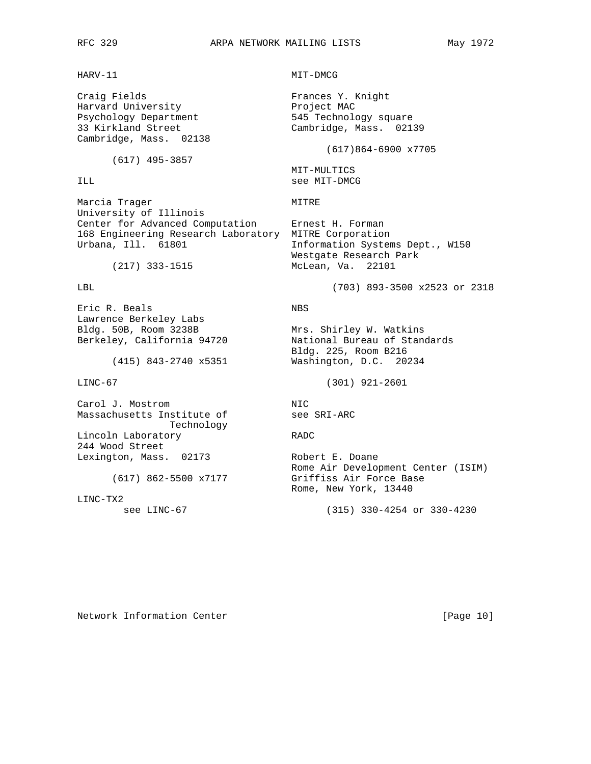Craig Fields **Frances Y. Knight** Harvard University **Example 19** Project MAC Psychology Department 545 Technology square Cambridge, Mass. 02138

(617) 495-3857

Marcia Trager **MITRE** University of Illinois Center for Advanced Computation Ernest H. Forman 168 Engineering Research Laboratory MITRE Corporation Urbana, Ill. 61801 **Information Systems Dept., W150** 

Eric R. Beals NBS Lawrence Berkeley Labs<br>Bldg. 50B, Room 3238B Bldg. 50B, Room 3238B Mrs. Shirley W. Watkins

Carol J. Mostrom NIC<br>
Massachusetts Institute of See SRI-ARC Massachusetts Institute of Technology Lincoln Laboratory RADC 244 Wood Street Lexington, Mass. 02173 Robert E. Doane

LINC-TX2

HARV-11 MIT-DMCG

33 Kirkland Street Cambridge, Mass. 02139

### (617)864-6900 x7705

 MIT-MULTICS ILL See MIT-DMCG

 Westgate Research Park (217) 333-1515 McLean, Va. 22101

LBL (703) 893-3500 x2523 or 2318

Berkeley, California 94720 National Bureau of Standards Bldg. 225, Room B216 (415) 843-2740 x5351 Washington, D.C. 20234

LINC-67 (301) 921-2601

 Rome Air Development Center (ISIM) (617) 862-5500 x7177 Griffiss Air Force Base Rome, New York, 13440

see LINC-67 (315) 330-4254 or 330-4230

Network Information Center [Page 10]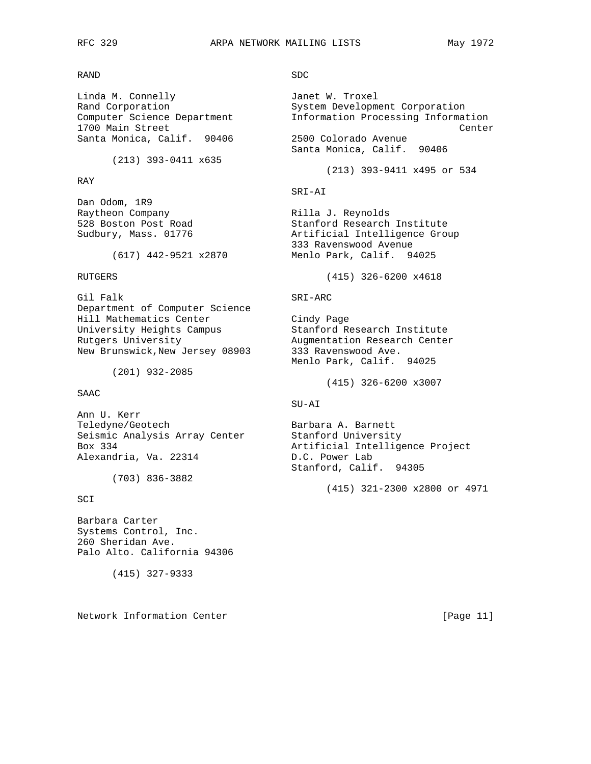RAND SDC

Linda M. Connelly **Janet W. Troxel** Santa Monica, Calif. 90406

(213) 393-0411 x635

### RAY

Dan Odom, 1R9 Raytheon Company **Rilla J. Reynolds** 

Gil Falk SRI-ARC Department of Computer Science Hill Mathematics Center Cindy Page<br>
University Heights Campus Stanford Research Institute University Heights Campus Rutgers University **Augmentation Research Center** New Brunswick, New Jersey 08903 333 Ravenswood Ave.

(201) 932-2085

SAAC

Ann U. Kerr Teledyne/Geotech Barbara A. Barnett Seismic Analysis Array Center Stanford University Alexandria, Va. 22314

(703) 836-3882

SCI

Barbara Carter Systems Control, Inc. 260 Sheridan Ave. Palo Alto. California 94306

(415) 327-9333

Network Information Center [Page 11]

Rand Corporation 61 System Development Corporation<br>Computer Science Department 1nformation Processing Informat Information Processing Information 1700 Main Street<br>Santa Monica, Calif. 90406 2500 Colorado Avenue Center Santa Monica, Calif. 90406 (213) 393-9411 x495 or 534 SRI-AI 528 Boston Post Road Stanford Research Institute Sudbury, Mass. 01776 (Artificial Intelligence Group 333 Ravenswood Avenue (617) 442-9521 x2870 Menlo Park, Calif. 94025 RUTGERS (415) 326-6200 x4618 Menlo Park, Calif. 94025 (415) 326-6200 x3007 SU-AI Box 334<br>
Artificial Intelligence Project<br>
Alexandria, Va. 22314<br>
D.C. Power Lab Stanford, Calif. 94305 (415) 321-2300 x2800 or 4971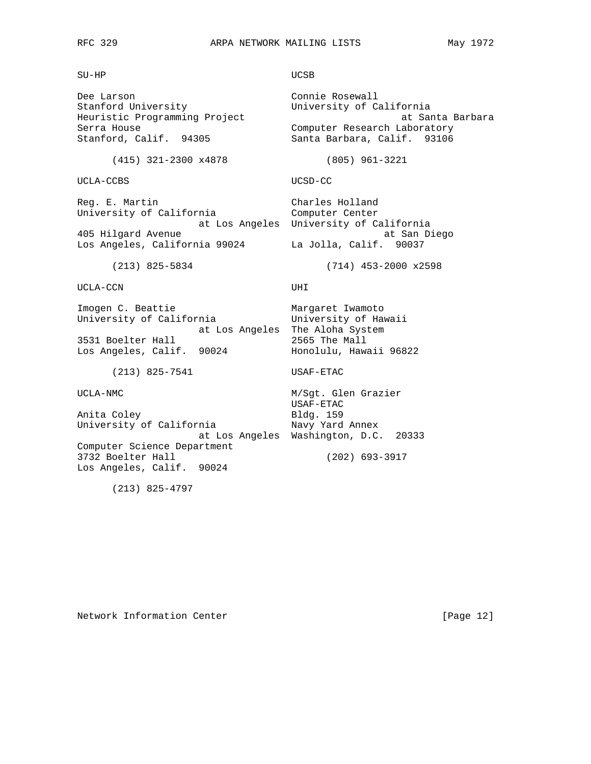SU-HP UCSB

Dee Larson Connie Rosewall Stanford University **Example 20** University of California Heuristic Programming Project and Santa Barbara Serra House<br>
Stanford, Calif. 94305 Santa Barbara, Calif. 93106

UCLA-CCBS UCSD-CC

Reg. E. Martin **E. E. Accepted Accepted** Charles Holland University of California Computer Center 405 Hilgard Avenue at San Diego Los Angeles, California 99024 La Jolla, Calif. 90037

Santa Barbara, Calif. 93106 (415) 321-2300 x4878 (805) 961-3221 at Los Angeles University of California

(213) 825-5834 (714) 453-2000 x2598

UCLA-CCN UHI

Imogen C. Beattie Margaret Iwamoto University of California University of Hawaii at Los Angeles The Aloha System<br>2565 The Mall 3531 Boelter Hall 2565 The Mall Los Angeles, Calif. 90024 Honolulu, Hawaii 96822

(213) 825-7541 USAF-ETAC

UCLA-NMC M/Sgt. Glen Grazier

Anita Coley **Bldg. 159** University of California Mavy Yard Annex at Los Angeles Washington, D.C. 20333 Computer Science Department 3732 Boelter Hall (202) 693-3917 Los Angeles, Calif. 90024

(213) 825-4797

USAF-ETAC

Network Information Center [Page 12]